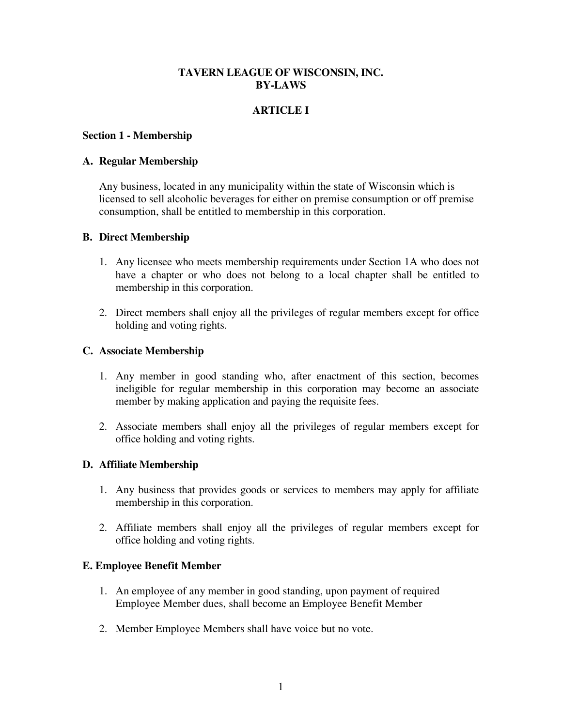# **TAVERN LEAGUE OF WISCONSIN, INC. BY-LAWS**

# **ARTICLE I**

#### **Section 1 - Membership**

#### **A. Regular Membership**

Any business, located in any municipality within the state of Wisconsin which is licensed to sell alcoholic beverages for either on premise consumption or off premise consumption, shall be entitled to membership in this corporation.

### **B. Direct Membership**

- 1. Any licensee who meets membership requirements under Section 1A who does not have a chapter or who does not belong to a local chapter shall be entitled to membership in this corporation.
- 2. Direct members shall enjoy all the privileges of regular members except for office holding and voting rights.

### **C. Associate Membership**

- 1. Any member in good standing who, after enactment of this section, becomes ineligible for regular membership in this corporation may become an associate member by making application and paying the requisite fees.
- 2. Associate members shall enjoy all the privileges of regular members except for office holding and voting rights.

### **D. Affiliate Membership**

- 1. Any business that provides goods or services to members may apply for affiliate membership in this corporation.
- 2. Affiliate members shall enjoy all the privileges of regular members except for office holding and voting rights.

### **E. Employee Benefit Member**

- 1. An employee of any member in good standing, upon payment of required Employee Member dues, shall become an Employee Benefit Member
- 2. Member Employee Members shall have voice but no vote.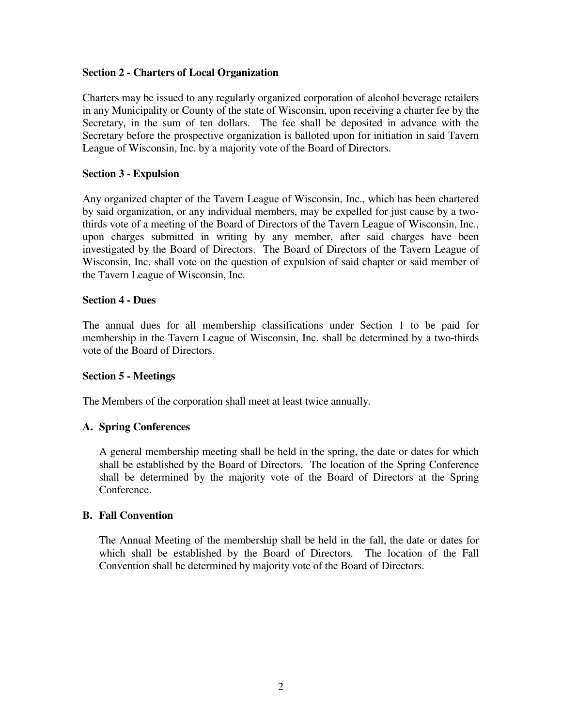## **Section 2 - Charters of Local Organization**

Charters may be issued to any regularly organized corporation of alcohol beverage retailers in any Municipality or County of the state of Wisconsin, upon receiving a charter fee by the Secretary, in the sum of ten dollars. The fee shall be deposited in advance with the Secretary before the prospective organization is balloted upon for initiation in said Tavern League of Wisconsin, Inc. by a majority vote of the Board of Directors.

## **Section 3 - Expulsion**

Any organized chapter of the Tavern League of Wisconsin, Inc., which has been chartered by said organization, or any individual members, may be expelled for just cause by a twothirds vote of a meeting of the Board of Directors of the Tavern League of Wisconsin, Inc., upon charges submitted in writing by any member, after said charges have been investigated by the Board of Directors. The Board of Directors of the Tavern League of Wisconsin, Inc. shall vote on the question of expulsion of said chapter or said member of the Tavern League of Wisconsin, Inc.

### **Section 4 - Dues**

The annual dues for all membership classifications under Section 1 to be paid for membership in the Tavern League of Wisconsin, Inc. shall be determined by a two-thirds vote of the Board of Directors.

### **Section 5 - Meetings**

The Members of the corporation shall meet at least twice annually.

# **A. Spring Conferences**

 A general membership meeting shall be held in the spring, the date or dates for which shall be established by the Board of Directors. The location of the Spring Conference shall be determined by the majority vote of the Board of Directors at the Spring Conference.

### **B. Fall Convention**

 The Annual Meeting of the membership shall be held in the fall, the date or dates for which shall be established by the Board of Directors. The location of the Fall Convention shall be determined by majority vote of the Board of Directors.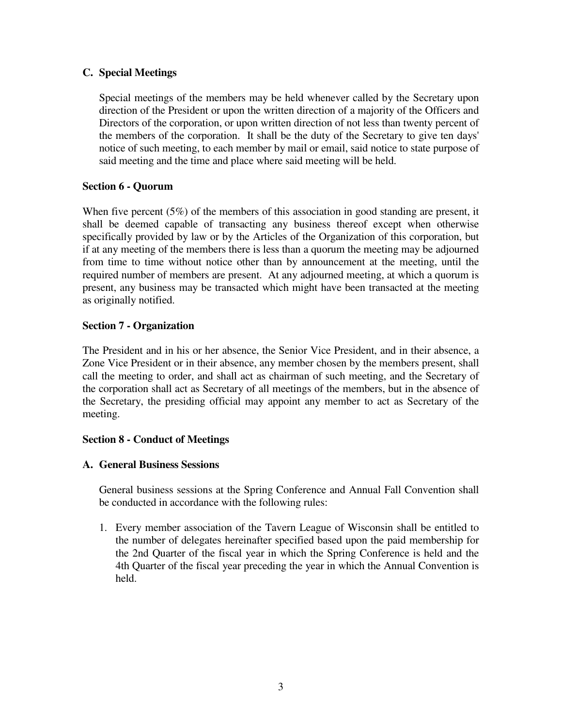# **C. Special Meetings**

 Special meetings of the members may be held whenever called by the Secretary upon direction of the President or upon the written direction of a majority of the Officers and Directors of the corporation, or upon written direction of not less than twenty percent of the members of the corporation. It shall be the duty of the Secretary to give ten days' notice of such meeting, to each member by mail or email, said notice to state purpose of said meeting and the time and place where said meeting will be held.

# **Section 6 - Quorum**

When five percent (5%) of the members of this association in good standing are present, it shall be deemed capable of transacting any business thereof except when otherwise specifically provided by law or by the Articles of the Organization of this corporation, but if at any meeting of the members there is less than a quorum the meeting may be adjourned from time to time without notice other than by announcement at the meeting, until the required number of members are present. At any adjourned meeting, at which a quorum is present, any business may be transacted which might have been transacted at the meeting as originally notified.

## **Section 7 - Organization**

The President and in his or her absence, the Senior Vice President, and in their absence, a Zone Vice President or in their absence, any member chosen by the members present, shall call the meeting to order, and shall act as chairman of such meeting, and the Secretary of the corporation shall act as Secretary of all meetings of the members, but in the absence of the Secretary, the presiding official may appoint any member to act as Secretary of the meeting.

### **Section 8 - Conduct of Meetings**

### **A. General Business Sessions**

 General business sessions at the Spring Conference and Annual Fall Convention shall be conducted in accordance with the following rules:

 1. Every member association of the Tavern League of Wisconsin shall be entitled to the number of delegates hereinafter specified based upon the paid membership for the 2nd Quarter of the fiscal year in which the Spring Conference is held and the 4th Quarter of the fiscal year preceding the year in which the Annual Convention is held.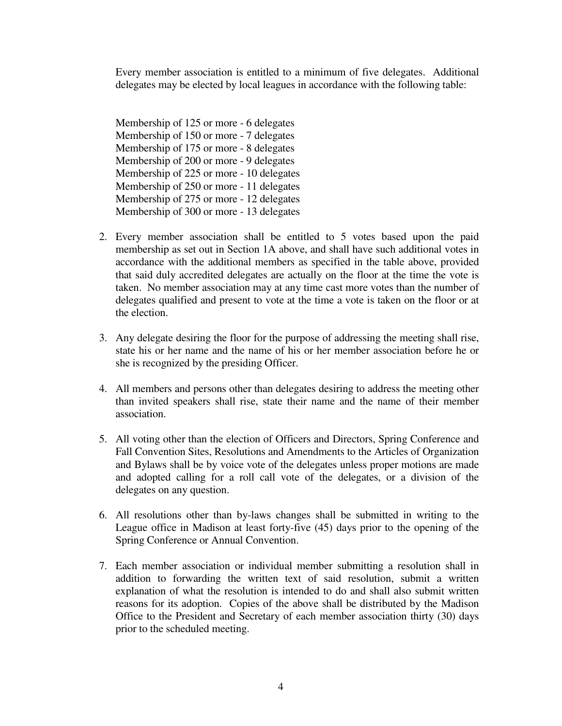Every member association is entitled to a minimum of five delegates. Additional delegates may be elected by local leagues in accordance with the following table:

 Membership of 125 or more - 6 delegates Membership of 150 or more - 7 delegates Membership of 175 or more - 8 delegates Membership of 200 or more - 9 delegates Membership of 225 or more - 10 delegates Membership of 250 or more - 11 delegates Membership of 275 or more - 12 delegates Membership of 300 or more - 13 delegates

- 2. Every member association shall be entitled to 5 votes based upon the paid membership as set out in Section 1A above, and shall have such additional votes in accordance with the additional members as specified in the table above, provided that said duly accredited delegates are actually on the floor at the time the vote is taken. No member association may at any time cast more votes than the number of delegates qualified and present to vote at the time a vote is taken on the floor or at the election.
- 3. Any delegate desiring the floor for the purpose of addressing the meeting shall rise, state his or her name and the name of his or her member association before he or she is recognized by the presiding Officer.
- 4. All members and persons other than delegates desiring to address the meeting other than invited speakers shall rise, state their name and the name of their member association.
- 5. All voting other than the election of Officers and Directors, Spring Conference and Fall Convention Sites, Resolutions and Amendments to the Articles of Organization and Bylaws shall be by voice vote of the delegates unless proper motions are made and adopted calling for a roll call vote of the delegates, or a division of the delegates on any question.
- 6. All resolutions other than by-laws changes shall be submitted in writing to the League office in Madison at least forty-five (45) days prior to the opening of the Spring Conference or Annual Convention.
- 7. Each member association or individual member submitting a resolution shall in addition to forwarding the written text of said resolution, submit a written explanation of what the resolution is intended to do and shall also submit written reasons for its adoption. Copies of the above shall be distributed by the Madison Office to the President and Secretary of each member association thirty (30) days prior to the scheduled meeting.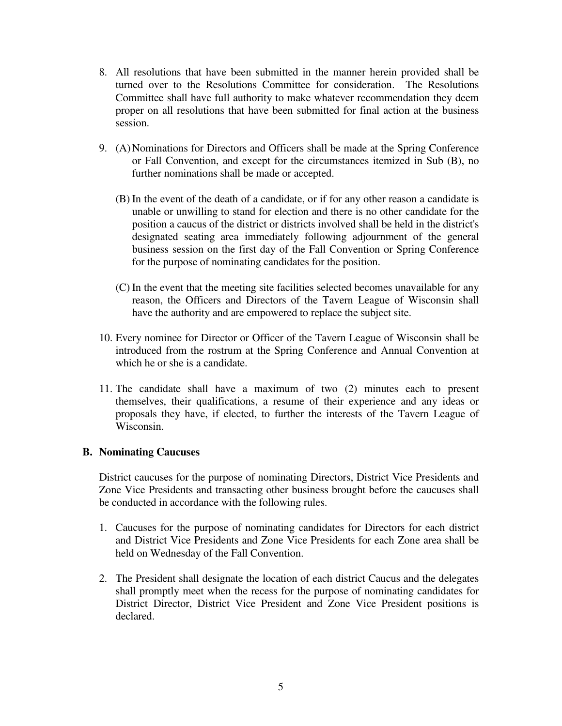- 8. All resolutions that have been submitted in the manner herein provided shall be turned over to the Resolutions Committee for consideration. The Resolutions Committee shall have full authority to make whatever recommendation they deem proper on all resolutions that have been submitted for final action at the business session.
- 9. (A) Nominations for Directors and Officers shall be made at the Spring Conference or Fall Convention, and except for the circumstances itemized in Sub (B), no further nominations shall be made or accepted.
	- (B) In the event of the death of a candidate, or if for any other reason a candidate is unable or unwilling to stand for election and there is no other candidate for the position a caucus of the district or districts involved shall be held in the district's designated seating area immediately following adjournment of the general business session on the first day of the Fall Convention or Spring Conference for the purpose of nominating candidates for the position.
	- (C) In the event that the meeting site facilities selected becomes unavailable for any reason, the Officers and Directors of the Tavern League of Wisconsin shall have the authority and are empowered to replace the subject site.
- 10. Every nominee for Director or Officer of the Tavern League of Wisconsin shall be introduced from the rostrum at the Spring Conference and Annual Convention at which he or she is a candidate.
- 11. The candidate shall have a maximum of two (2) minutes each to present themselves, their qualifications, a resume of their experience and any ideas or proposals they have, if elected, to further the interests of the Tavern League of Wisconsin.

### **B. Nominating Caucuses**

 District caucuses for the purpose of nominating Directors, District Vice Presidents and Zone Vice Presidents and transacting other business brought before the caucuses shall be conducted in accordance with the following rules.

- 1. Caucuses for the purpose of nominating candidates for Directors for each district and District Vice Presidents and Zone Vice Presidents for each Zone area shall be held on Wednesday of the Fall Convention.
- 2. The President shall designate the location of each district Caucus and the delegates shall promptly meet when the recess for the purpose of nominating candidates for District Director, District Vice President and Zone Vice President positions is declared.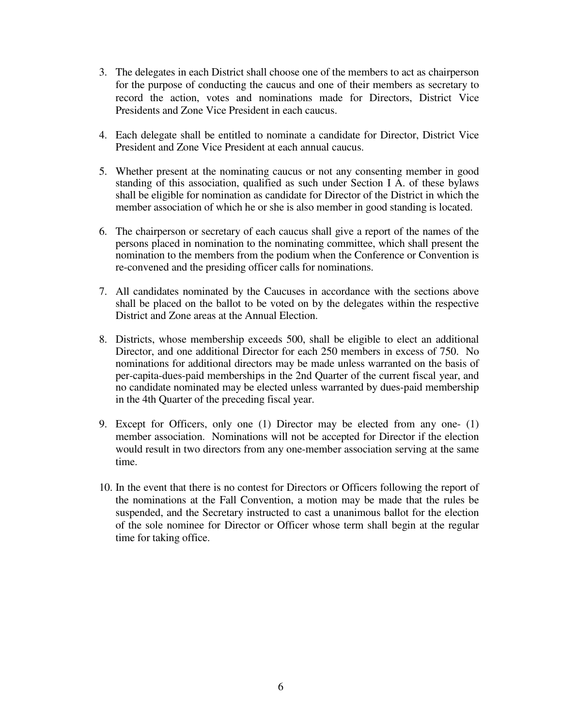- 3. The delegates in each District shall choose one of the members to act as chairperson for the purpose of conducting the caucus and one of their members as secretary to record the action, votes and nominations made for Directors, District Vice Presidents and Zone Vice President in each caucus.
- 4. Each delegate shall be entitled to nominate a candidate for Director, District Vice President and Zone Vice President at each annual caucus.
- 5. Whether present at the nominating caucus or not any consenting member in good standing of this association, qualified as such under Section I A. of these bylaws shall be eligible for nomination as candidate for Director of the District in which the member association of which he or she is also member in good standing is located.
- 6. The chairperson or secretary of each caucus shall give a report of the names of the persons placed in nomination to the nominating committee, which shall present the nomination to the members from the podium when the Conference or Convention is re-convened and the presiding officer calls for nominations.
- 7. All candidates nominated by the Caucuses in accordance with the sections above shall be placed on the ballot to be voted on by the delegates within the respective District and Zone areas at the Annual Election.
- 8. Districts, whose membership exceeds 500, shall be eligible to elect an additional Director, and one additional Director for each 250 members in excess of 750. No nominations for additional directors may be made unless warranted on the basis of per-capita-dues-paid memberships in the 2nd Quarter of the current fiscal year, and no candidate nominated may be elected unless warranted by dues-paid membership in the 4th Quarter of the preceding fiscal year.
- 9. Except for Officers, only one (1) Director may be elected from any one- (1) member association. Nominations will not be accepted for Director if the election would result in two directors from any one-member association serving at the same time.
- 10. In the event that there is no contest for Directors or Officers following the report of the nominations at the Fall Convention, a motion may be made that the rules be suspended, and the Secretary instructed to cast a unanimous ballot for the election of the sole nominee for Director or Officer whose term shall begin at the regular time for taking office.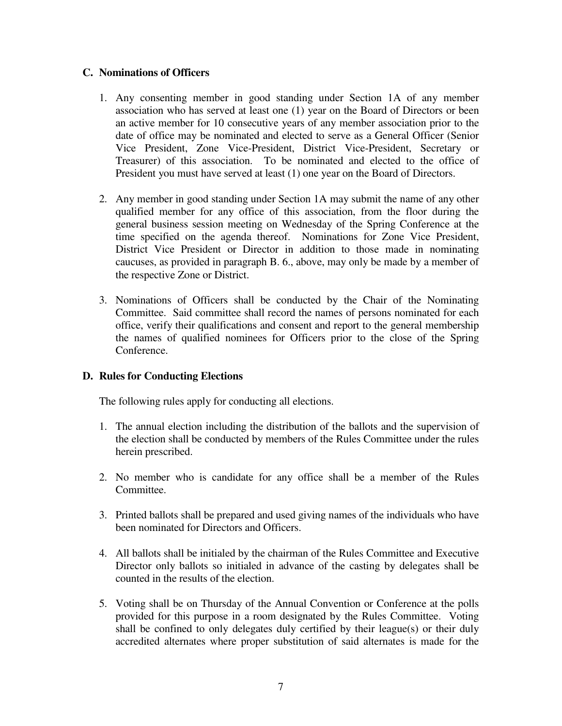## **C. Nominations of Officers**

- 1. Any consenting member in good standing under Section 1A of any member association who has served at least one (1) year on the Board of Directors or been an active member for 10 consecutive years of any member association prior to the date of office may be nominated and elected to serve as a General Officer (Senior Vice President, Zone Vice-President, District Vice-President, Secretary or Treasurer) of this association. To be nominated and elected to the office of President you must have served at least (1) one year on the Board of Directors.
- 2. Any member in good standing under Section 1A may submit the name of any other qualified member for any office of this association, from the floor during the general business session meeting on Wednesday of the Spring Conference at the time specified on the agenda thereof. Nominations for Zone Vice President, District Vice President or Director in addition to those made in nominating caucuses, as provided in paragraph B. 6., above, may only be made by a member of the respective Zone or District.
- 3. Nominations of Officers shall be conducted by the Chair of the Nominating Committee. Said committee shall record the names of persons nominated for each office, verify their qualifications and consent and report to the general membership the names of qualified nominees for Officers prior to the close of the Spring Conference.

# **D. Rules for Conducting Elections**

The following rules apply for conducting all elections.

- 1. The annual election including the distribution of the ballots and the supervision of the election shall be conducted by members of the Rules Committee under the rules herein prescribed.
- 2. No member who is candidate for any office shall be a member of the Rules Committee.
- 3. Printed ballots shall be prepared and used giving names of the individuals who have been nominated for Directors and Officers.
- 4. All ballots shall be initialed by the chairman of the Rules Committee and Executive Director only ballots so initialed in advance of the casting by delegates shall be counted in the results of the election.
- 5. Voting shall be on Thursday of the Annual Convention or Conference at the polls provided for this purpose in a room designated by the Rules Committee. Voting shall be confined to only delegates duly certified by their league(s) or their duly accredited alternates where proper substitution of said alternates is made for the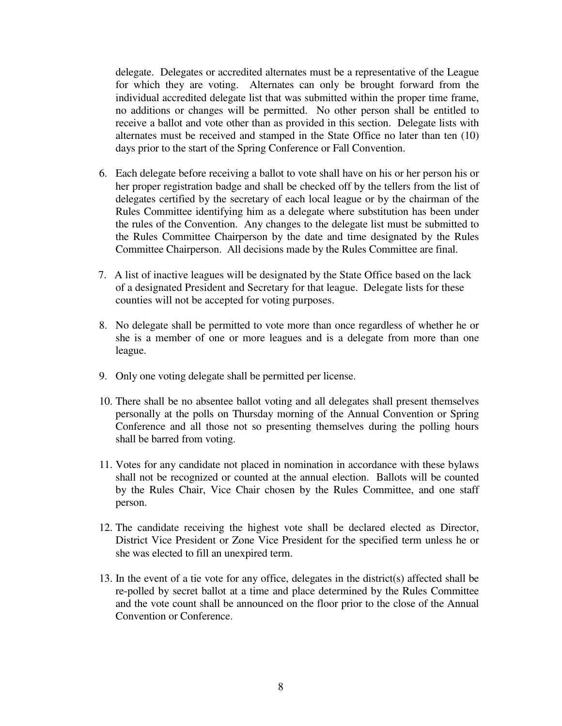delegate. Delegates or accredited alternates must be a representative of the League for which they are voting. Alternates can only be brought forward from the individual accredited delegate list that was submitted within the proper time frame, no additions or changes will be permitted. No other person shall be entitled to receive a ballot and vote other than as provided in this section. Delegate lists with alternates must be received and stamped in the State Office no later than ten (10) days prior to the start of the Spring Conference or Fall Convention.

- 6. Each delegate before receiving a ballot to vote shall have on his or her person his or her proper registration badge and shall be checked off by the tellers from the list of delegates certified by the secretary of each local league or by the chairman of the Rules Committee identifying him as a delegate where substitution has been under the rules of the Convention. Any changes to the delegate list must be submitted to the Rules Committee Chairperson by the date and time designated by the Rules Committee Chairperson. All decisions made by the Rules Committee are final.
- 7. A list of inactive leagues will be designated by the State Office based on the lack of a designated President and Secretary for that league. Delegate lists for these counties will not be accepted for voting purposes.
- 8. No delegate shall be permitted to vote more than once regardless of whether he or she is a member of one or more leagues and is a delegate from more than one league.
- 9. Only one voting delegate shall be permitted per license.
- 10. There shall be no absentee ballot voting and all delegates shall present themselves personally at the polls on Thursday morning of the Annual Convention or Spring Conference and all those not so presenting themselves during the polling hours shall be barred from voting.
- 11. Votes for any candidate not placed in nomination in accordance with these bylaws shall not be recognized or counted at the annual election. Ballots will be counted by the Rules Chair, Vice Chair chosen by the Rules Committee, and one staff person.
- 12. The candidate receiving the highest vote shall be declared elected as Director, District Vice President or Zone Vice President for the specified term unless he or she was elected to fill an unexpired term.
- 13. In the event of a tie vote for any office, delegates in the district(s) affected shall be re-polled by secret ballot at a time and place determined by the Rules Committee and the vote count shall be announced on the floor prior to the close of the Annual Convention or Conference.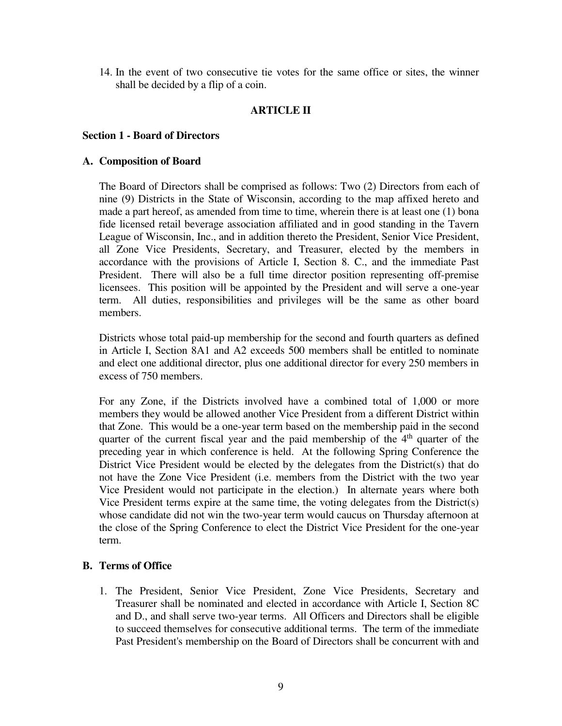14. In the event of two consecutive tie votes for the same office or sites, the winner shall be decided by a flip of a coin.

## **ARTICLE II**

#### **Section 1 - Board of Directors**

#### **A. Composition of Board**

 The Board of Directors shall be comprised as follows: Two (2) Directors from each of nine (9) Districts in the State of Wisconsin, according to the map affixed hereto and made a part hereof, as amended from time to time, wherein there is at least one (1) bona fide licensed retail beverage association affiliated and in good standing in the Tavern League of Wisconsin, Inc., and in addition thereto the President, Senior Vice President, all Zone Vice Presidents, Secretary, and Treasurer, elected by the members in accordance with the provisions of Article I, Section 8. C., and the immediate Past President. There will also be a full time director position representing off-premise licensees. This position will be appointed by the President and will serve a one-year term. All duties, responsibilities and privileges will be the same as other board members.

 Districts whose total paid-up membership for the second and fourth quarters as defined in Article I, Section 8A1 and A2 exceeds 500 members shall be entitled to nominate and elect one additional director, plus one additional director for every 250 members in excess of 750 members.

For any Zone, if the Districts involved have a combined total of 1,000 or more members they would be allowed another Vice President from a different District within that Zone. This would be a one-year term based on the membership paid in the second quarter of the current fiscal year and the paid membership of the  $4<sup>th</sup>$  quarter of the preceding year in which conference is held. At the following Spring Conference the District Vice President would be elected by the delegates from the District(s) that do not have the Zone Vice President (i.e. members from the District with the two year Vice President would not participate in the election.) In alternate years where both Vice President terms expire at the same time, the voting delegates from the District(s) whose candidate did not win the two-year term would caucus on Thursday afternoon at the close of the Spring Conference to elect the District Vice President for the one-year term.

### **B. Terms of Office**

 1. The President, Senior Vice President, Zone Vice Presidents, Secretary and Treasurer shall be nominated and elected in accordance with Article I, Section 8C and D., and shall serve two-year terms. All Officers and Directors shall be eligible to succeed themselves for consecutive additional terms. The term of the immediate Past President's membership on the Board of Directors shall be concurrent with and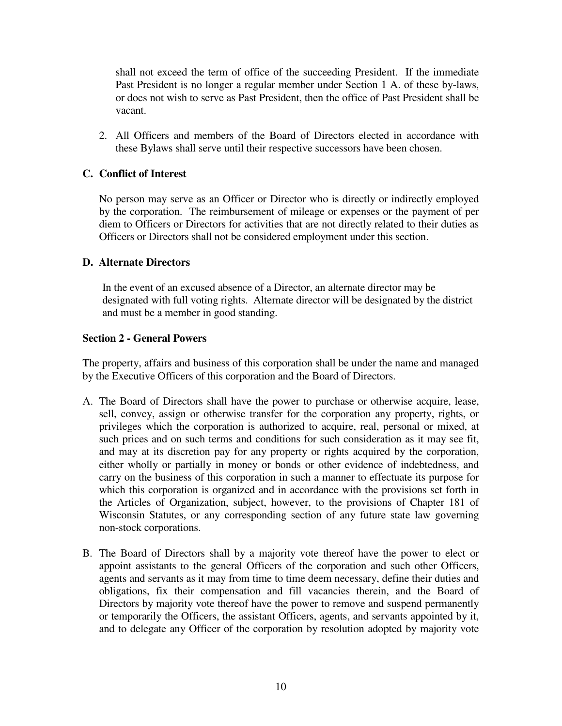shall not exceed the term of office of the succeeding President. If the immediate Past President is no longer a regular member under Section 1 A. of these by-laws, or does not wish to serve as Past President, then the office of Past President shall be vacant.

 2. All Officers and members of the Board of Directors elected in accordance with these Bylaws shall serve until their respective successors have been chosen.

# **C. Conflict of Interest**

 No person may serve as an Officer or Director who is directly or indirectly employed by the corporation. The reimbursement of mileage or expenses or the payment of per diem to Officers or Directors for activities that are not directly related to their duties as Officers or Directors shall not be considered employment under this section.

### **D. Alternate Directors**

In the event of an excused absence of a Director, an alternate director may be designated with full voting rights. Alternate director will be designated by the district and must be a member in good standing.

#### **Section 2 - General Powers**

The property, affairs and business of this corporation shall be under the name and managed by the Executive Officers of this corporation and the Board of Directors.

- A. The Board of Directors shall have the power to purchase or otherwise acquire, lease, sell, convey, assign or otherwise transfer for the corporation any property, rights, or privileges which the corporation is authorized to acquire, real, personal or mixed, at such prices and on such terms and conditions for such consideration as it may see fit, and may at its discretion pay for any property or rights acquired by the corporation, either wholly or partially in money or bonds or other evidence of indebtedness, and carry on the business of this corporation in such a manner to effectuate its purpose for which this corporation is organized and in accordance with the provisions set forth in the Articles of Organization, subject, however, to the provisions of Chapter 181 of Wisconsin Statutes, or any corresponding section of any future state law governing non-stock corporations.
- B. The Board of Directors shall by a majority vote thereof have the power to elect or appoint assistants to the general Officers of the corporation and such other Officers, agents and servants as it may from time to time deem necessary, define their duties and obligations, fix their compensation and fill vacancies therein, and the Board of Directors by majority vote thereof have the power to remove and suspend permanently or temporarily the Officers, the assistant Officers, agents, and servants appointed by it, and to delegate any Officer of the corporation by resolution adopted by majority vote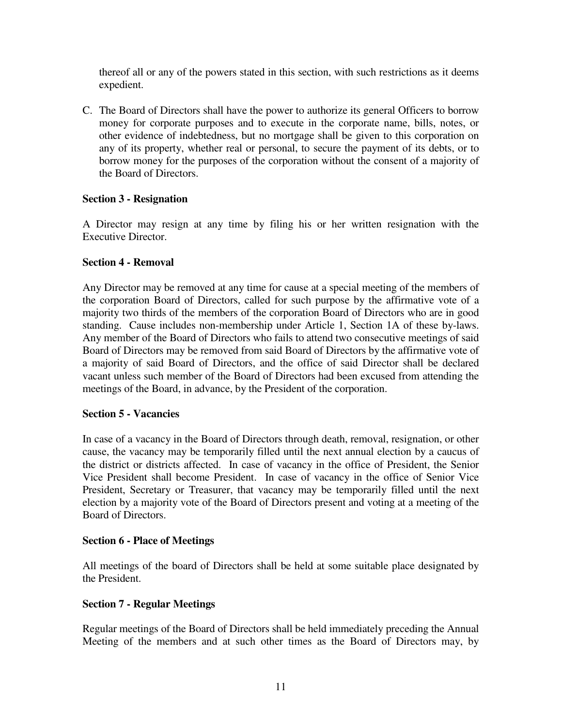thereof all or any of the powers stated in this section, with such restrictions as it deems expedient.

C. The Board of Directors shall have the power to authorize its general Officers to borrow money for corporate purposes and to execute in the corporate name, bills, notes, or other evidence of indebtedness, but no mortgage shall be given to this corporation on any of its property, whether real or personal, to secure the payment of its debts, or to borrow money for the purposes of the corporation without the consent of a majority of the Board of Directors.

# **Section 3 - Resignation**

A Director may resign at any time by filing his or her written resignation with the Executive Director.

## **Section 4 - Removal**

Any Director may be removed at any time for cause at a special meeting of the members of the corporation Board of Directors, called for such purpose by the affirmative vote of a majority two thirds of the members of the corporation Board of Directors who are in good standing. Cause includes non-membership under Article 1, Section 1A of these by-laws. Any member of the Board of Directors who fails to attend two consecutive meetings of said Board of Directors may be removed from said Board of Directors by the affirmative vote of a majority of said Board of Directors, and the office of said Director shall be declared vacant unless such member of the Board of Directors had been excused from attending the meetings of the Board, in advance, by the President of the corporation.

### **Section 5 - Vacancies**

In case of a vacancy in the Board of Directors through death, removal, resignation, or other cause, the vacancy may be temporarily filled until the next annual election by a caucus of the district or districts affected. In case of vacancy in the office of President, the Senior Vice President shall become President. In case of vacancy in the office of Senior Vice President, Secretary or Treasurer, that vacancy may be temporarily filled until the next election by a majority vote of the Board of Directors present and voting at a meeting of the Board of Directors.

### **Section 6 - Place of Meetings**

All meetings of the board of Directors shall be held at some suitable place designated by the President.

### **Section 7 - Regular Meetings**

Regular meetings of the Board of Directors shall be held immediately preceding the Annual Meeting of the members and at such other times as the Board of Directors may, by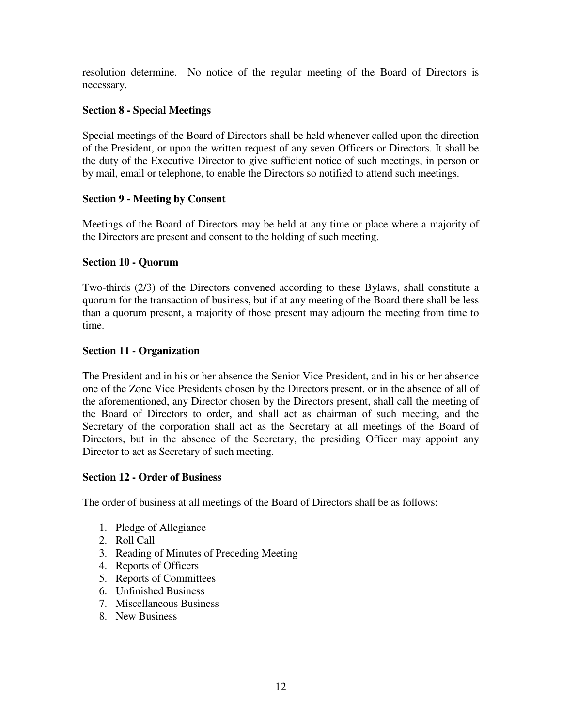resolution determine. No notice of the regular meeting of the Board of Directors is necessary.

# **Section 8 - Special Meetings**

Special meetings of the Board of Directors shall be held whenever called upon the direction of the President, or upon the written request of any seven Officers or Directors. It shall be the duty of the Executive Director to give sufficient notice of such meetings, in person or by mail, email or telephone, to enable the Directors so notified to attend such meetings.

## **Section 9 - Meeting by Consent**

Meetings of the Board of Directors may be held at any time or place where a majority of the Directors are present and consent to the holding of such meeting.

## **Section 10 - Quorum**

Two-thirds (2/3) of the Directors convened according to these Bylaws, shall constitute a quorum for the transaction of business, but if at any meeting of the Board there shall be less than a quorum present, a majority of those present may adjourn the meeting from time to time.

## **Section 11 - Organization**

The President and in his or her absence the Senior Vice President, and in his or her absence one of the Zone Vice Presidents chosen by the Directors present, or in the absence of all of the aforementioned, any Director chosen by the Directors present, shall call the meeting of the Board of Directors to order, and shall act as chairman of such meeting, and the Secretary of the corporation shall act as the Secretary at all meetings of the Board of Directors, but in the absence of the Secretary, the presiding Officer may appoint any Director to act as Secretary of such meeting.

### **Section 12 - Order of Business**

The order of business at all meetings of the Board of Directors shall be as follows:

- 1. Pledge of Allegiance
- 2. Roll Call
- 3. Reading of Minutes of Preceding Meeting
- 4. Reports of Officers
- 5. Reports of Committees
- 6. Unfinished Business
- 7. Miscellaneous Business
- 8. New Business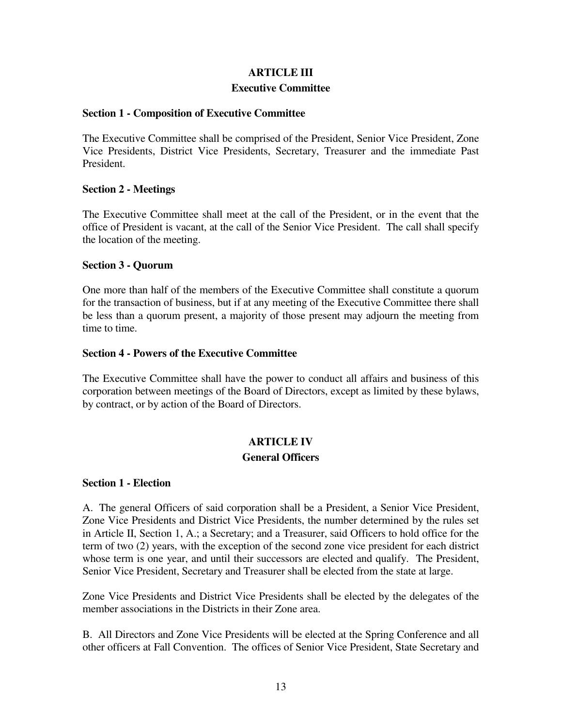# **ARTICLE III Executive Committee**

## **Section 1 - Composition of Executive Committee**

The Executive Committee shall be comprised of the President, Senior Vice President, Zone Vice Presidents, District Vice Presidents, Secretary, Treasurer and the immediate Past President.

## **Section 2 - Meetings**

The Executive Committee shall meet at the call of the President, or in the event that the office of President is vacant, at the call of the Senior Vice President. The call shall specify the location of the meeting.

## **Section 3 - Quorum**

One more than half of the members of the Executive Committee shall constitute a quorum for the transaction of business, but if at any meeting of the Executive Committee there shall be less than a quorum present, a majority of those present may adjourn the meeting from time to time.

### **Section 4 - Powers of the Executive Committee**

The Executive Committee shall have the power to conduct all affairs and business of this corporation between meetings of the Board of Directors, except as limited by these bylaws, by contract, or by action of the Board of Directors.

# **ARTICLE IV General Officers**

### **Section 1 - Election**

A. The general Officers of said corporation shall be a President, a Senior Vice President, Zone Vice Presidents and District Vice Presidents, the number determined by the rules set in Article II, Section 1, A.; a Secretary; and a Treasurer, said Officers to hold office for the term of two (2) years, with the exception of the second zone vice president for each district whose term is one year, and until their successors are elected and qualify. The President, Senior Vice President, Secretary and Treasurer shall be elected from the state at large.

Zone Vice Presidents and District Vice Presidents shall be elected by the delegates of the member associations in the Districts in their Zone area.

B. All Directors and Zone Vice Presidents will be elected at the Spring Conference and all other officers at Fall Convention. The offices of Senior Vice President, State Secretary and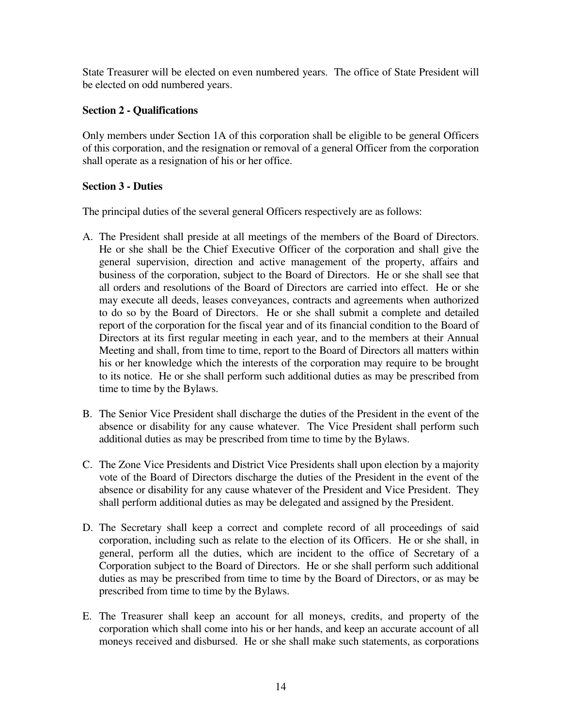State Treasurer will be elected on even numbered years. The office of State President will be elected on odd numbered years.

# **Section 2 - Qualifications**

Only members under Section 1A of this corporation shall be eligible to be general Officers of this corporation, and the resignation or removal of a general Officer from the corporation shall operate as a resignation of his or her office.

# **Section 3 - Duties**

The principal duties of the several general Officers respectively are as follows:

- A. The President shall preside at all meetings of the members of the Board of Directors. He or she shall be the Chief Executive Officer of the corporation and shall give the general supervision, direction and active management of the property, affairs and business of the corporation, subject to the Board of Directors. He or she shall see that all orders and resolutions of the Board of Directors are carried into effect. He or she may execute all deeds, leases conveyances, contracts and agreements when authorized to do so by the Board of Directors. He or she shall submit a complete and detailed report of the corporation for the fiscal year and of its financial condition to the Board of Directors at its first regular meeting in each year, and to the members at their Annual Meeting and shall, from time to time, report to the Board of Directors all matters within his or her knowledge which the interests of the corporation may require to be brought to its notice. He or she shall perform such additional duties as may be prescribed from time to time by the Bylaws.
- B. The Senior Vice President shall discharge the duties of the President in the event of the absence or disability for any cause whatever. The Vice President shall perform such additional duties as may be prescribed from time to time by the Bylaws.
- C. The Zone Vice Presidents and District Vice Presidents shall upon election by a majority vote of the Board of Directors discharge the duties of the President in the event of the absence or disability for any cause whatever of the President and Vice President. They shall perform additional duties as may be delegated and assigned by the President.
- D. The Secretary shall keep a correct and complete record of all proceedings of said corporation, including such as relate to the election of its Officers. He or she shall, in general, perform all the duties, which are incident to the office of Secretary of a Corporation subject to the Board of Directors. He or she shall perform such additional duties as may be prescribed from time to time by the Board of Directors, or as may be prescribed from time to time by the Bylaws.
- E. The Treasurer shall keep an account for all moneys, credits, and property of the corporation which shall come into his or her hands, and keep an accurate account of all moneys received and disbursed. He or she shall make such statements, as corporations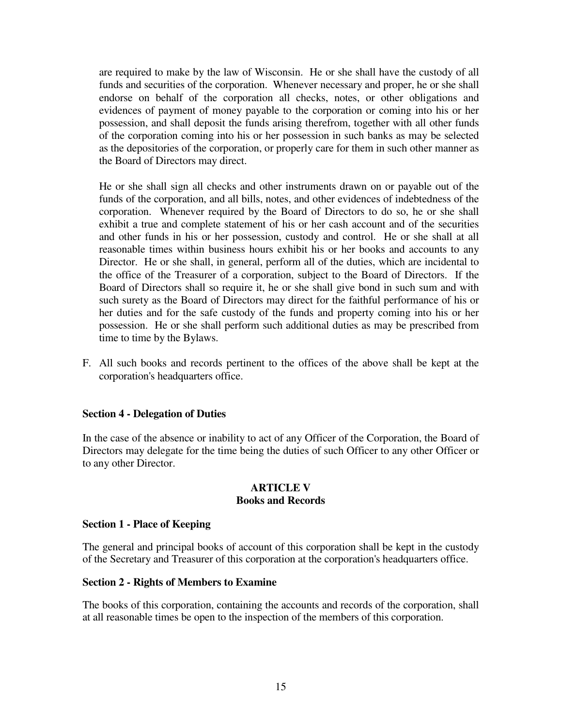are required to make by the law of Wisconsin. He or she shall have the custody of all funds and securities of the corporation. Whenever necessary and proper, he or she shall endorse on behalf of the corporation all checks, notes, or other obligations and evidences of payment of money payable to the corporation or coming into his or her possession, and shall deposit the funds arising therefrom, together with all other funds of the corporation coming into his or her possession in such banks as may be selected as the depositories of the corporation, or properly care for them in such other manner as the Board of Directors may direct.

 He or she shall sign all checks and other instruments drawn on or payable out of the funds of the corporation, and all bills, notes, and other evidences of indebtedness of the corporation. Whenever required by the Board of Directors to do so, he or she shall exhibit a true and complete statement of his or her cash account and of the securities and other funds in his or her possession, custody and control. He or she shall at all reasonable times within business hours exhibit his or her books and accounts to any Director. He or she shall, in general, perform all of the duties, which are incidental to the office of the Treasurer of a corporation, subject to the Board of Directors. If the Board of Directors shall so require it, he or she shall give bond in such sum and with such surety as the Board of Directors may direct for the faithful performance of his or her duties and for the safe custody of the funds and property coming into his or her possession. He or she shall perform such additional duties as may be prescribed from time to time by the Bylaws.

F. All such books and records pertinent to the offices of the above shall be kept at the corporation's headquarters office.

### **Section 4 - Delegation of Duties**

In the case of the absence or inability to act of any Officer of the Corporation, the Board of Directors may delegate for the time being the duties of such Officer to any other Officer or to any other Director.

#### **ARTICLE V Books and Records**

### **Section 1 - Place of Keeping**

The general and principal books of account of this corporation shall be kept in the custody of the Secretary and Treasurer of this corporation at the corporation's headquarters office.

### **Section 2 - Rights of Members to Examine**

The books of this corporation, containing the accounts and records of the corporation, shall at all reasonable times be open to the inspection of the members of this corporation.